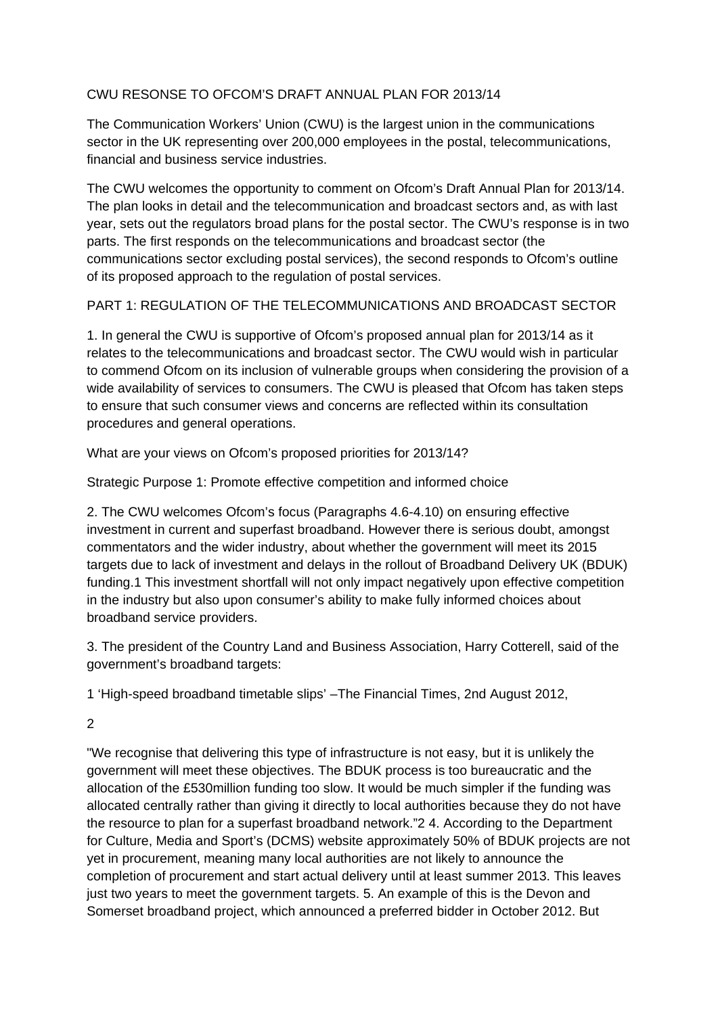## CWU RESONSE TO OFCOM'S DRAFT ANNUAL PLAN FOR 2013/14

The Communication Workers' Union (CWU) is the largest union in the communications sector in the UK representing over 200,000 employees in the postal, telecommunications, financial and business service industries.

The CWU welcomes the opportunity to comment on Ofcom's Draft Annual Plan for 2013/14. The plan looks in detail and the telecommunication and broadcast sectors and, as with last year, sets out the regulators broad plans for the postal sector. The CWU's response is in two parts. The first responds on the telecommunications and broadcast sector (the communications sector excluding postal services), the second responds to Ofcom's outline of its proposed approach to the regulation of postal services.

## PART 1: REGULATION OF THE TELECOMMUNICATIONS AND BROADCAST SECTOR

1. In general the CWU is supportive of Ofcom's proposed annual plan for 2013/14 as it relates to the telecommunications and broadcast sector. The CWU would wish in particular to commend Ofcom on its inclusion of vulnerable groups when considering the provision of a wide availability of services to consumers. The CWU is pleased that Ofcom has taken steps to ensure that such consumer views and concerns are reflected within its consultation procedures and general operations.

What are your views on Ofcom's proposed priorities for 2013/14?

Strategic Purpose 1: Promote effective competition and informed choice

2. The CWU welcomes Ofcom's focus (Paragraphs 4.6-4.10) on ensuring effective investment in current and superfast broadband. However there is serious doubt, amongst commentators and the wider industry, about whether the government will meet its 2015 targets due to lack of investment and delays in the rollout of Broadband Delivery UK (BDUK) funding.1 This investment shortfall will not only impact negatively upon effective competition in the industry but also upon consumer's ability to make fully informed choices about broadband service providers.

3. The president of the Country Land and Business Association, Harry Cotterell, said of the government's broadband targets:

1 'High-speed broadband timetable slips' –The Financial Times, 2nd August 2012,

2

"We recognise that delivering this type of infrastructure is not easy, but it is unlikely the government will meet these objectives. The BDUK process is too bureaucratic and the allocation of the £530million funding too slow. It would be much simpler if the funding was allocated centrally rather than giving it directly to local authorities because they do not have the resource to plan for a superfast broadband network."2 4. According to the Department for Culture, Media and Sport's (DCMS) website approximately 50% of BDUK projects are not yet in procurement, meaning many local authorities are not likely to announce the completion of procurement and start actual delivery until at least summer 2013. This leaves just two years to meet the government targets. 5. An example of this is the Devon and Somerset broadband project, which announced a preferred bidder in October 2012. But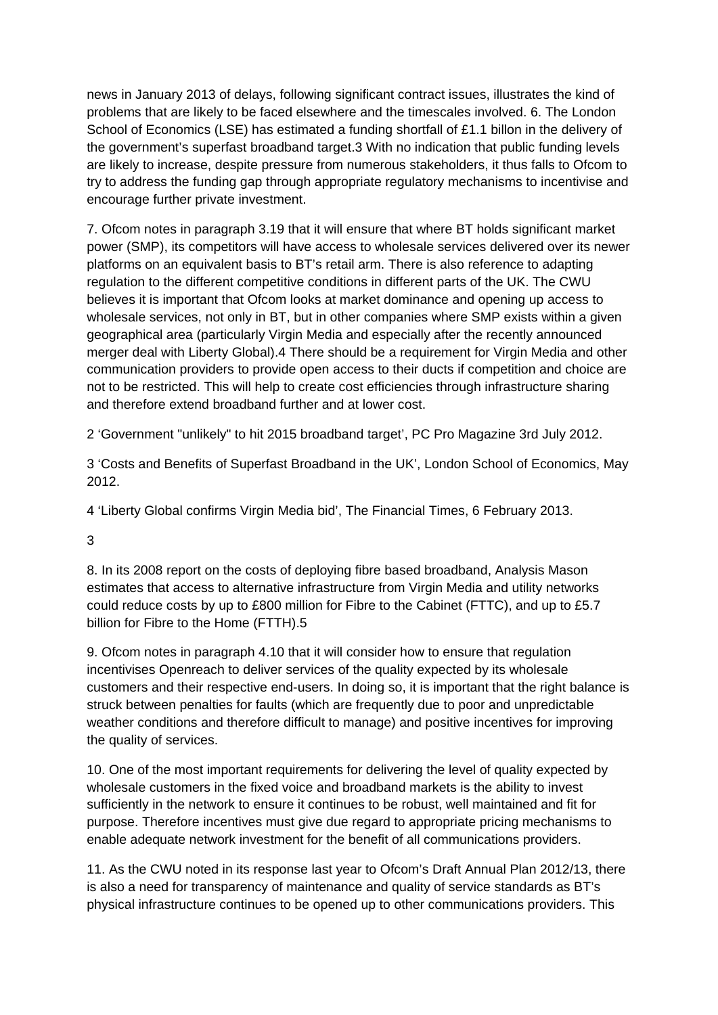news in January 2013 of delays, following significant contract issues, illustrates the kind of problems that are likely to be faced elsewhere and the timescales involved. 6. The London School of Economics (LSE) has estimated a funding shortfall of £1.1 billon in the delivery of the government's superfast broadband target.3 With no indication that public funding levels are likely to increase, despite pressure from numerous stakeholders, it thus falls to Ofcom to try to address the funding gap through appropriate regulatory mechanisms to incentivise and encourage further private investment.

7. Ofcom notes in paragraph 3.19 that it will ensure that where BT holds significant market power (SMP), its competitors will have access to wholesale services delivered over its newer platforms on an equivalent basis to BT's retail arm. There is also reference to adapting regulation to the different competitive conditions in different parts of the UK. The CWU believes it is important that Ofcom looks at market dominance and opening up access to wholesale services, not only in BT, but in other companies where SMP exists within a given geographical area (particularly Virgin Media and especially after the recently announced merger deal with Liberty Global).4 There should be a requirement for Virgin Media and other communication providers to provide open access to their ducts if competition and choice are not to be restricted. This will help to create cost efficiencies through infrastructure sharing and therefore extend broadband further and at lower cost.

2 'Government "unlikely" to hit 2015 broadband target', PC Pro Magazine 3rd July 2012.

3 'Costs and Benefits of Superfast Broadband in the UK', London School of Economics, May 2012.

4 'Liberty Global confirms Virgin Media bid', The Financial Times, 6 February 2013.

3

8. In its 2008 report on the costs of deploying fibre based broadband, Analysis Mason estimates that access to alternative infrastructure from Virgin Media and utility networks could reduce costs by up to £800 million for Fibre to the Cabinet (FTTC), and up to £5.7 billion for Fibre to the Home (FTTH).5

9. Ofcom notes in paragraph 4.10 that it will consider how to ensure that regulation incentivises Openreach to deliver services of the quality expected by its wholesale customers and their respective end-users. In doing so, it is important that the right balance is struck between penalties for faults (which are frequently due to poor and unpredictable weather conditions and therefore difficult to manage) and positive incentives for improving the quality of services.

10. One of the most important requirements for delivering the level of quality expected by wholesale customers in the fixed voice and broadband markets is the ability to invest sufficiently in the network to ensure it continues to be robust, well maintained and fit for purpose. Therefore incentives must give due regard to appropriate pricing mechanisms to enable adequate network investment for the benefit of all communications providers.

11. As the CWU noted in its response last year to Ofcom's Draft Annual Plan 2012/13, there is also a need for transparency of maintenance and quality of service standards as BT's physical infrastructure continues to be opened up to other communications providers. This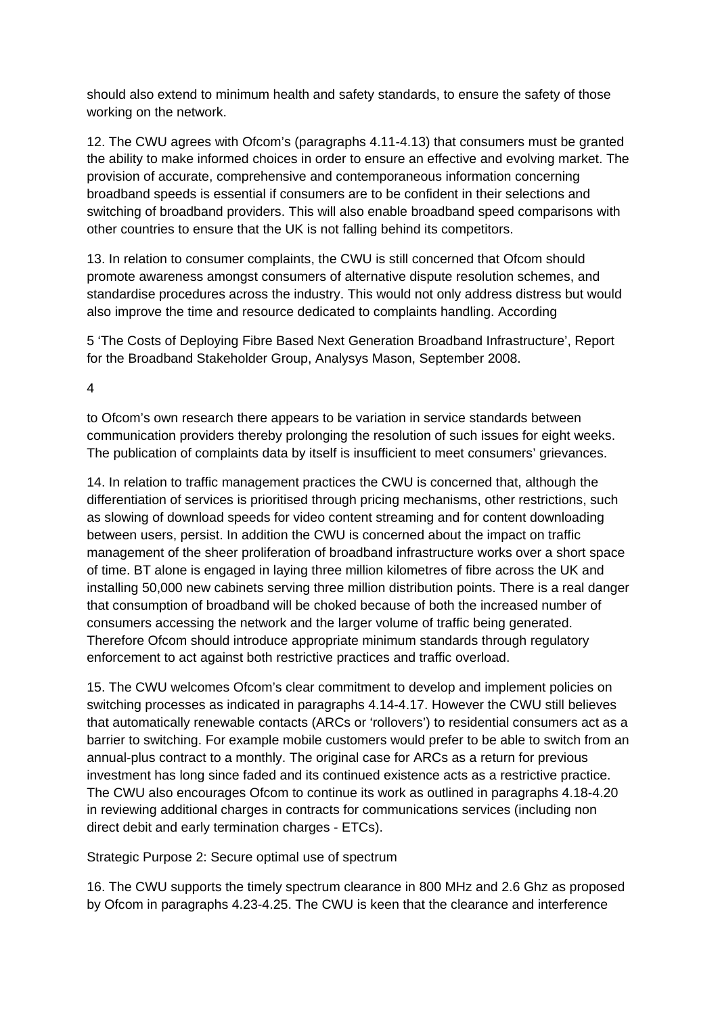should also extend to minimum health and safety standards, to ensure the safety of those working on the network.

12. The CWU agrees with Ofcom's (paragraphs 4.11-4.13) that consumers must be granted the ability to make informed choices in order to ensure an effective and evolving market. The provision of accurate, comprehensive and contemporaneous information concerning broadband speeds is essential if consumers are to be confident in their selections and switching of broadband providers. This will also enable broadband speed comparisons with other countries to ensure that the UK is not falling behind its competitors.

13. In relation to consumer complaints, the CWU is still concerned that Ofcom should promote awareness amongst consumers of alternative dispute resolution schemes, and standardise procedures across the industry. This would not only address distress but would also improve the time and resource dedicated to complaints handling. According

5 'The Costs of Deploying Fibre Based Next Generation Broadband Infrastructure', Report for the Broadband Stakeholder Group, Analysys Mason, September 2008.

4

to Ofcom's own research there appears to be variation in service standards between communication providers thereby prolonging the resolution of such issues for eight weeks. The publication of complaints data by itself is insufficient to meet consumers' grievances.

14. In relation to traffic management practices the CWU is concerned that, although the differentiation of services is prioritised through pricing mechanisms, other restrictions, such as slowing of download speeds for video content streaming and for content downloading between users, persist. In addition the CWU is concerned about the impact on traffic management of the sheer proliferation of broadband infrastructure works over a short space of time. BT alone is engaged in laying three million kilometres of fibre across the UK and installing 50,000 new cabinets serving three million distribution points. There is a real danger that consumption of broadband will be choked because of both the increased number of consumers accessing the network and the larger volume of traffic being generated. Therefore Ofcom should introduce appropriate minimum standards through regulatory enforcement to act against both restrictive practices and traffic overload.

15. The CWU welcomes Ofcom's clear commitment to develop and implement policies on switching processes as indicated in paragraphs 4.14-4.17. However the CWU still believes that automatically renewable contacts (ARCs or 'rollovers') to residential consumers act as a barrier to switching. For example mobile customers would prefer to be able to switch from an annual-plus contract to a monthly. The original case for ARCs as a return for previous investment has long since faded and its continued existence acts as a restrictive practice. The CWU also encourages Ofcom to continue its work as outlined in paragraphs 4.18-4.20 in reviewing additional charges in contracts for communications services (including non direct debit and early termination charges - ETCs).

Strategic Purpose 2: Secure optimal use of spectrum

16. The CWU supports the timely spectrum clearance in 800 MHz and 2.6 Ghz as proposed by Ofcom in paragraphs 4.23-4.25. The CWU is keen that the clearance and interference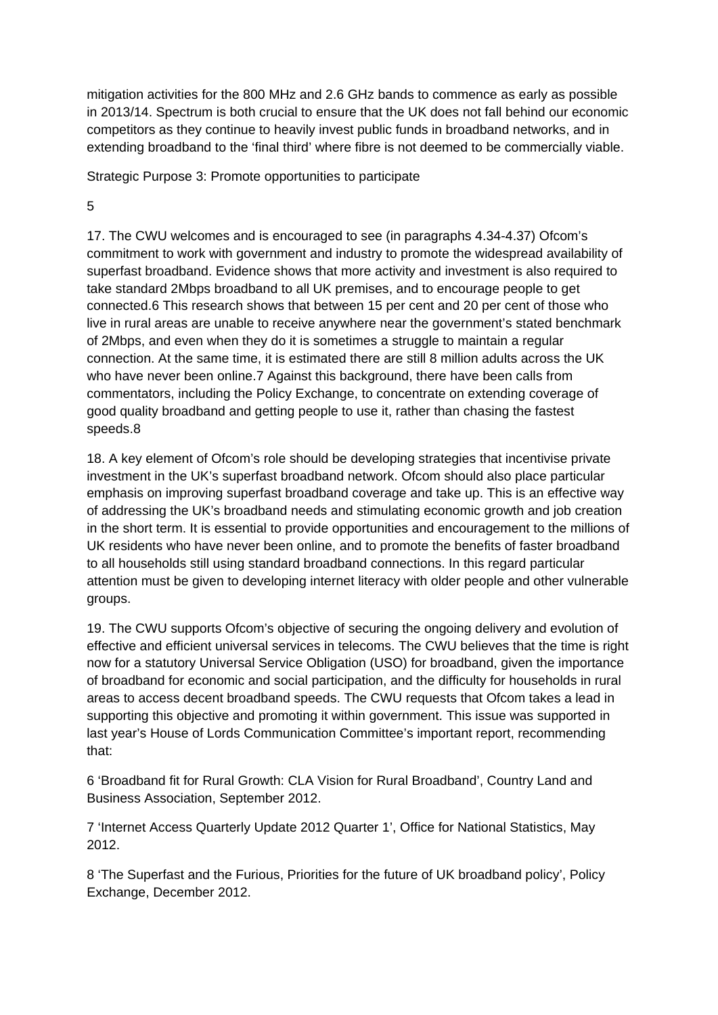mitigation activities for the 800 MHz and 2.6 GHz bands to commence as early as possible in 2013/14. Spectrum is both crucial to ensure that the UK does not fall behind our economic competitors as they continue to heavily invest public funds in broadband networks, and in extending broadband to the 'final third' where fibre is not deemed to be commercially viable.

Strategic Purpose 3: Promote opportunities to participate

5

17. The CWU welcomes and is encouraged to see (in paragraphs 4.34-4.37) Ofcom's commitment to work with government and industry to promote the widespread availability of superfast broadband. Evidence shows that more activity and investment is also required to take standard 2Mbps broadband to all UK premises, and to encourage people to get connected.6 This research shows that between 15 per cent and 20 per cent of those who live in rural areas are unable to receive anywhere near the government's stated benchmark of 2Mbps, and even when they do it is sometimes a struggle to maintain a regular connection. At the same time, it is estimated there are still 8 million adults across the UK who have never been online.7 Against this background, there have been calls from commentators, including the Policy Exchange, to concentrate on extending coverage of good quality broadband and getting people to use it, rather than chasing the fastest speeds.8

18. A key element of Ofcom's role should be developing strategies that incentivise private investment in the UK's superfast broadband network. Ofcom should also place particular emphasis on improving superfast broadband coverage and take up. This is an effective way of addressing the UK's broadband needs and stimulating economic growth and job creation in the short term. It is essential to provide opportunities and encouragement to the millions of UK residents who have never been online, and to promote the benefits of faster broadband to all households still using standard broadband connections. In this regard particular attention must be given to developing internet literacy with older people and other vulnerable groups.

19. The CWU supports Ofcom's objective of securing the ongoing delivery and evolution of effective and efficient universal services in telecoms. The CWU believes that the time is right now for a statutory Universal Service Obligation (USO) for broadband, given the importance of broadband for economic and social participation, and the difficulty for households in rural areas to access decent broadband speeds. The CWU requests that Ofcom takes a lead in supporting this objective and promoting it within government. This issue was supported in last year's House of Lords Communication Committee's important report, recommending that:

6 'Broadband fit for Rural Growth: CLA Vision for Rural Broadband', Country Land and Business Association, September 2012.

7 'Internet Access Quarterly Update 2012 Quarter 1', Office for National Statistics, May 2012.

8 'The Superfast and the Furious, Priorities for the future of UK broadband policy', Policy Exchange, December 2012.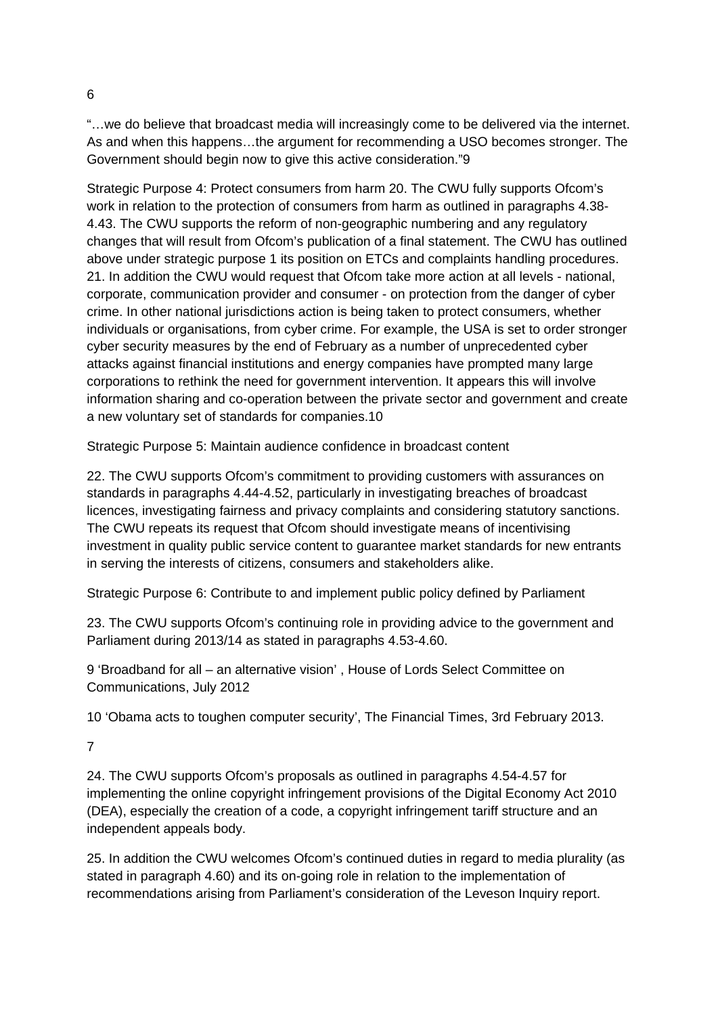"…we do believe that broadcast media will increasingly come to be delivered via the internet. As and when this happens…the argument for recommending a USO becomes stronger. The Government should begin now to give this active consideration."9

Strategic Purpose 4: Protect consumers from harm 20. The CWU fully supports Ofcom's work in relation to the protection of consumers from harm as outlined in paragraphs 4.38- 4.43. The CWU supports the reform of non-geographic numbering and any regulatory changes that will result from Ofcom's publication of a final statement. The CWU has outlined above under strategic purpose 1 its position on ETCs and complaints handling procedures. 21. In addition the CWU would request that Ofcom take more action at all levels - national, corporate, communication provider and consumer - on protection from the danger of cyber crime. In other national jurisdictions action is being taken to protect consumers, whether individuals or organisations, from cyber crime. For example, the USA is set to order stronger cyber security measures by the end of February as a number of unprecedented cyber attacks against financial institutions and energy companies have prompted many large corporations to rethink the need for government intervention. It appears this will involve information sharing and co-operation between the private sector and government and create a new voluntary set of standards for companies.10

Strategic Purpose 5: Maintain audience confidence in broadcast content

22. The CWU supports Ofcom's commitment to providing customers with assurances on standards in paragraphs 4.44-4.52, particularly in investigating breaches of broadcast licences, investigating fairness and privacy complaints and considering statutory sanctions. The CWU repeats its request that Ofcom should investigate means of incentivising investment in quality public service content to guarantee market standards for new entrants in serving the interests of citizens, consumers and stakeholders alike.

Strategic Purpose 6: Contribute to and implement public policy defined by Parliament

23. The CWU supports Ofcom's continuing role in providing advice to the government and Parliament during 2013/14 as stated in paragraphs 4.53-4.60.

9 'Broadband for all – an alternative vision' , House of Lords Select Committee on Communications, July 2012

10 'Obama acts to toughen computer security', The Financial Times, 3rd February 2013.

7

24. The CWU supports Ofcom's proposals as outlined in paragraphs 4.54-4.57 for implementing the online copyright infringement provisions of the Digital Economy Act 2010 (DEA), especially the creation of a code, a copyright infringement tariff structure and an independent appeals body.

25. In addition the CWU welcomes Ofcom's continued duties in regard to media plurality (as stated in paragraph 4.60) and its on-going role in relation to the implementation of recommendations arising from Parliament's consideration of the Leveson Inquiry report.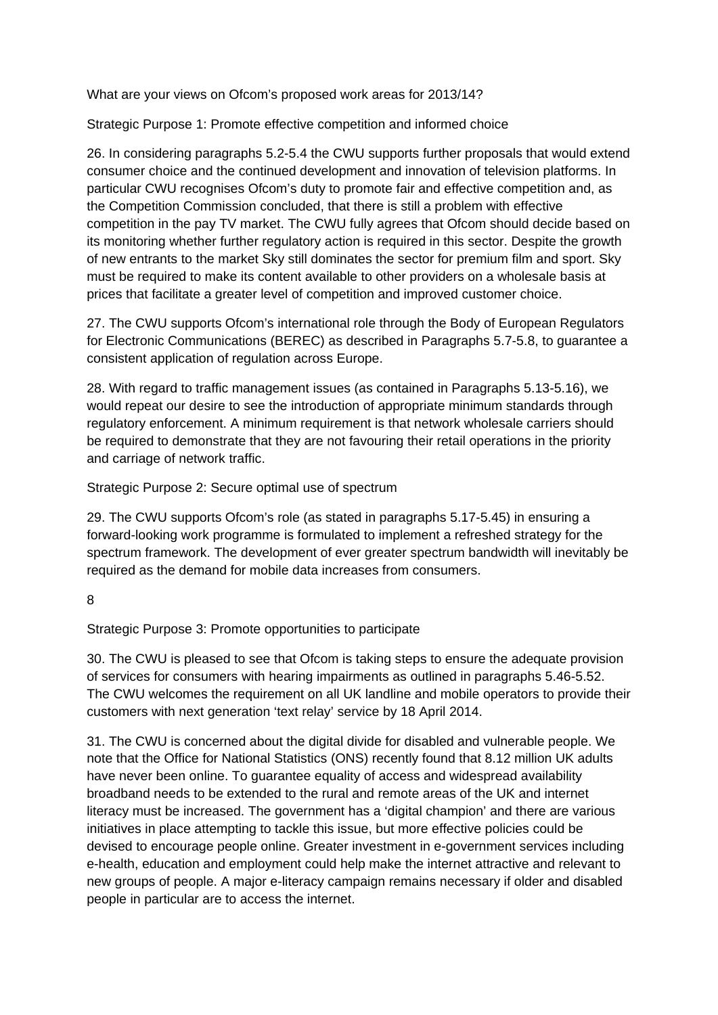What are your views on Ofcom's proposed work areas for 2013/14?

Strategic Purpose 1: Promote effective competition and informed choice

26. In considering paragraphs 5.2-5.4 the CWU supports further proposals that would extend consumer choice and the continued development and innovation of television platforms. In particular CWU recognises Ofcom's duty to promote fair and effective competition and, as the Competition Commission concluded, that there is still a problem with effective competition in the pay TV market. The CWU fully agrees that Ofcom should decide based on its monitoring whether further regulatory action is required in this sector. Despite the growth of new entrants to the market Sky still dominates the sector for premium film and sport. Sky must be required to make its content available to other providers on a wholesale basis at prices that facilitate a greater level of competition and improved customer choice.

27. The CWU supports Ofcom's international role through the Body of European Regulators for Electronic Communications (BEREC) as described in Paragraphs 5.7-5.8, to guarantee a consistent application of regulation across Europe.

28. With regard to traffic management issues (as contained in Paragraphs 5.13-5.16), we would repeat our desire to see the introduction of appropriate minimum standards through regulatory enforcement. A minimum requirement is that network wholesale carriers should be required to demonstrate that they are not favouring their retail operations in the priority and carriage of network traffic.

Strategic Purpose 2: Secure optimal use of spectrum

29. The CWU supports Ofcom's role (as stated in paragraphs 5.17-5.45) in ensuring a forward-looking work programme is formulated to implement a refreshed strategy for the spectrum framework. The development of ever greater spectrum bandwidth will inevitably be required as the demand for mobile data increases from consumers.

8

Strategic Purpose 3: Promote opportunities to participate

30. The CWU is pleased to see that Ofcom is taking steps to ensure the adequate provision of services for consumers with hearing impairments as outlined in paragraphs 5.46-5.52. The CWU welcomes the requirement on all UK landline and mobile operators to provide their customers with next generation 'text relay' service by 18 April 2014.

31. The CWU is concerned about the digital divide for disabled and vulnerable people. We note that the Office for National Statistics (ONS) recently found that 8.12 million UK adults have never been online. To guarantee equality of access and widespread availability broadband needs to be extended to the rural and remote areas of the UK and internet literacy must be increased. The government has a 'digital champion' and there are various initiatives in place attempting to tackle this issue, but more effective policies could be devised to encourage people online. Greater investment in e-government services including e-health, education and employment could help make the internet attractive and relevant to new groups of people. A major e-literacy campaign remains necessary if older and disabled people in particular are to access the internet.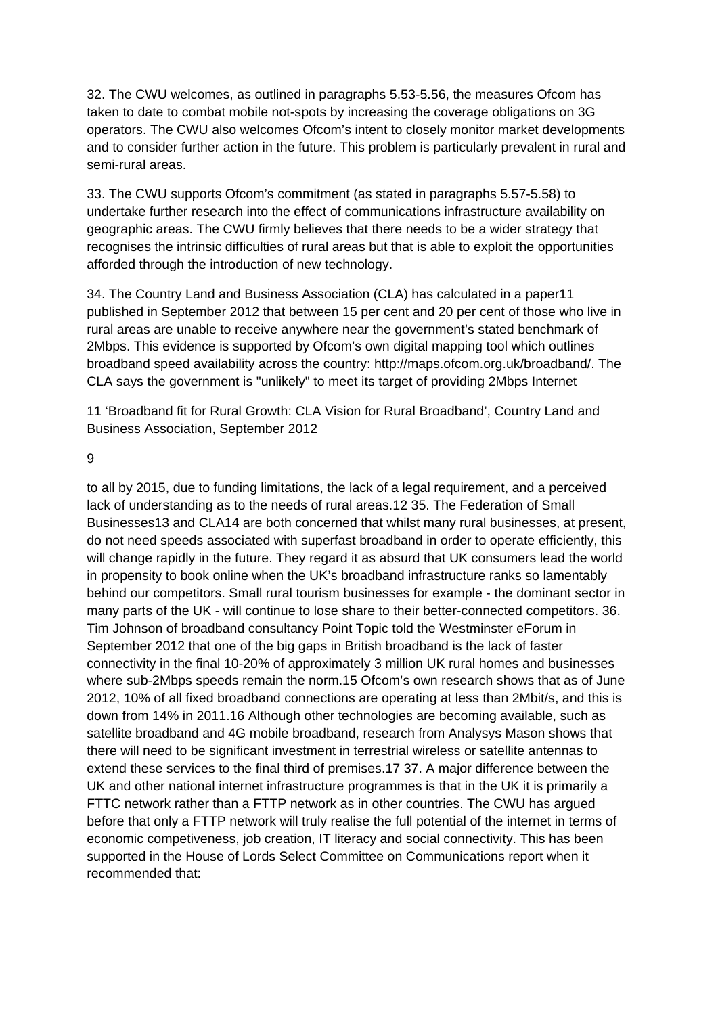32. The CWU welcomes, as outlined in paragraphs 5.53-5.56, the measures Ofcom has taken to date to combat mobile not-spots by increasing the coverage obligations on 3G operators. The CWU also welcomes Ofcom's intent to closely monitor market developments and to consider further action in the future. This problem is particularly prevalent in rural and semi-rural areas.

33. The CWU supports Ofcom's commitment (as stated in paragraphs 5.57-5.58) to undertake further research into the effect of communications infrastructure availability on geographic areas. The CWU firmly believes that there needs to be a wider strategy that recognises the intrinsic difficulties of rural areas but that is able to exploit the opportunities afforded through the introduction of new technology.

34. The Country Land and Business Association (CLA) has calculated in a paper11 published in September 2012 that between 15 per cent and 20 per cent of those who live in rural areas are unable to receive anywhere near the government's stated benchmark of 2Mbps. This evidence is supported by Ofcom's own digital mapping tool which outlines broadband speed availability across the country: http://maps.ofcom.org.uk/broadband/. The CLA says the government is "unlikely" to meet its target of providing 2Mbps Internet

11 'Broadband fit for Rural Growth: CLA Vision for Rural Broadband', Country Land and Business Association, September 2012

9

to all by 2015, due to funding limitations, the lack of a legal requirement, and a perceived lack of understanding as to the needs of rural areas.12 35. The Federation of Small Businesses13 and CLA14 are both concerned that whilst many rural businesses, at present, do not need speeds associated with superfast broadband in order to operate efficiently, this will change rapidly in the future. They regard it as absurd that UK consumers lead the world in propensity to book online when the UK's broadband infrastructure ranks so lamentably behind our competitors. Small rural tourism businesses for example - the dominant sector in many parts of the UK - will continue to lose share to their better-connected competitors. 36. Tim Johnson of broadband consultancy Point Topic told the Westminster eForum in September 2012 that one of the big gaps in British broadband is the lack of faster connectivity in the final 10-20% of approximately 3 million UK rural homes and businesses where sub-2Mbps speeds remain the norm.15 Ofcom's own research shows that as of June 2012, 10% of all fixed broadband connections are operating at less than 2Mbit/s, and this is down from 14% in 2011.16 Although other technologies are becoming available, such as satellite broadband and 4G mobile broadband, research from Analysys Mason shows that there will need to be significant investment in terrestrial wireless or satellite antennas to extend these services to the final third of premises.17 37. A major difference between the UK and other national internet infrastructure programmes is that in the UK it is primarily a FTTC network rather than a FTTP network as in other countries. The CWU has argued before that only a FTTP network will truly realise the full potential of the internet in terms of economic competiveness, job creation, IT literacy and social connectivity. This has been supported in the House of Lords Select Committee on Communications report when it recommended that: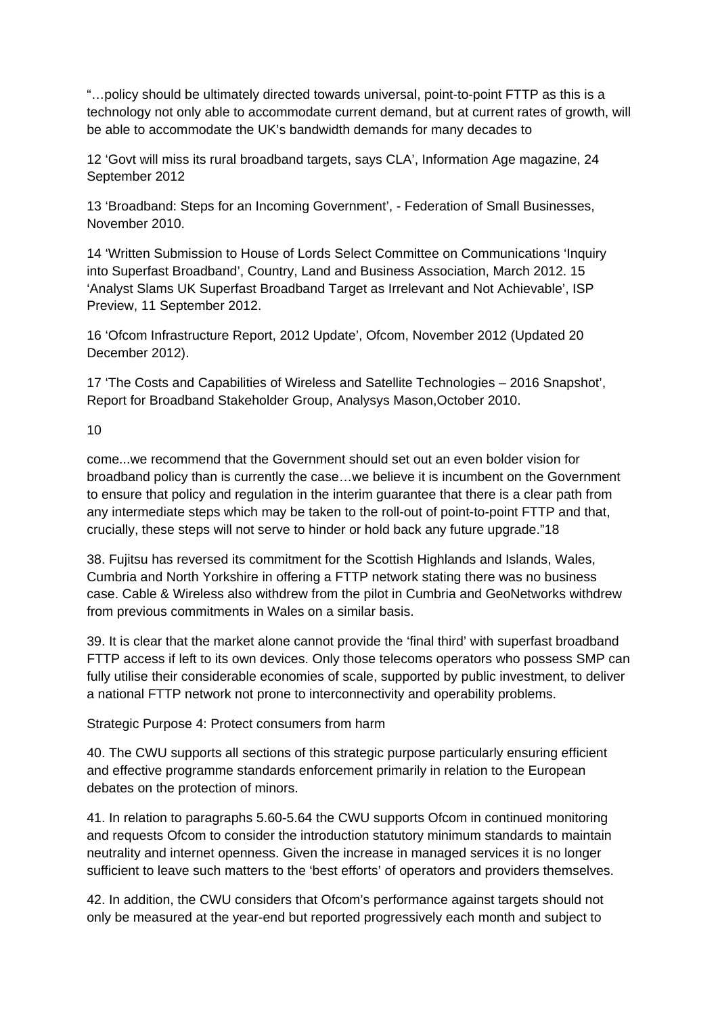"…policy should be ultimately directed towards universal, point-to-point FTTP as this is a technology not only able to accommodate current demand, but at current rates of growth, will be able to accommodate the UK's bandwidth demands for many decades to

12 'Govt will miss its rural broadband targets, says CLA', Information Age magazine, 24 September 2012

13 'Broadband: Steps for an Incoming Government', - Federation of Small Businesses, November 2010.

14 'Written Submission to House of Lords Select Committee on Communications 'Inquiry into Superfast Broadband', Country, Land and Business Association, March 2012. 15 'Analyst Slams UK Superfast Broadband Target as Irrelevant and Not Achievable', ISP Preview, 11 September 2012.

16 'Ofcom Infrastructure Report, 2012 Update', Ofcom, November 2012 (Updated 20 December 2012).

17 'The Costs and Capabilities of Wireless and Satellite Technologies – 2016 Snapshot', Report for Broadband Stakeholder Group, Analysys Mason,October 2010.

10

come...we recommend that the Government should set out an even bolder vision for broadband policy than is currently the case…we believe it is incumbent on the Government to ensure that policy and regulation in the interim guarantee that there is a clear path from any intermediate steps which may be taken to the roll-out of point-to-point FTTP and that, crucially, these steps will not serve to hinder or hold back any future upgrade."18

38. Fujitsu has reversed its commitment for the Scottish Highlands and Islands, Wales, Cumbria and North Yorkshire in offering a FTTP network stating there was no business case. Cable & Wireless also withdrew from the pilot in Cumbria and GeoNetworks withdrew from previous commitments in Wales on a similar basis.

39. It is clear that the market alone cannot provide the 'final third' with superfast broadband FTTP access if left to its own devices. Only those telecoms operators who possess SMP can fully utilise their considerable economies of scale, supported by public investment, to deliver a national FTTP network not prone to interconnectivity and operability problems.

Strategic Purpose 4: Protect consumers from harm

40. The CWU supports all sections of this strategic purpose particularly ensuring efficient and effective programme standards enforcement primarily in relation to the European debates on the protection of minors.

41. In relation to paragraphs 5.60-5.64 the CWU supports Ofcom in continued monitoring and requests Ofcom to consider the introduction statutory minimum standards to maintain neutrality and internet openness. Given the increase in managed services it is no longer sufficient to leave such matters to the 'best efforts' of operators and providers themselves.

42. In addition, the CWU considers that Ofcom's performance against targets should not only be measured at the year-end but reported progressively each month and subject to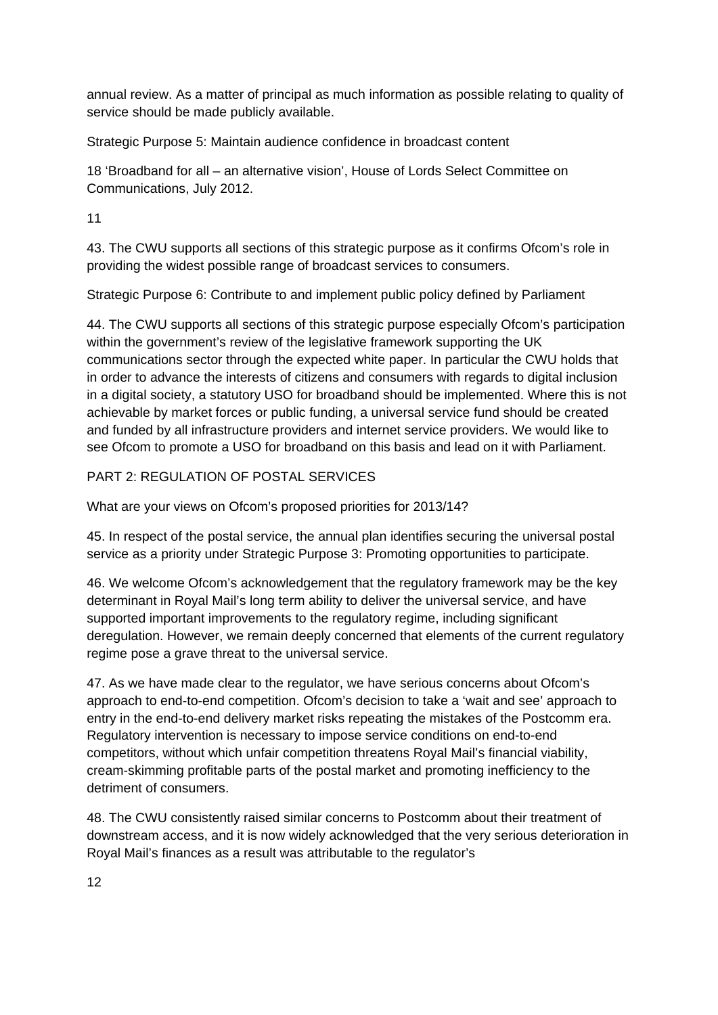annual review. As a matter of principal as much information as possible relating to quality of service should be made publicly available.

Strategic Purpose 5: Maintain audience confidence in broadcast content

18 'Broadband for all – an alternative vision', House of Lords Select Committee on Communications, July 2012.

11

43. The CWU supports all sections of this strategic purpose as it confirms Ofcom's role in providing the widest possible range of broadcast services to consumers.

Strategic Purpose 6: Contribute to and implement public policy defined by Parliament

44. The CWU supports all sections of this strategic purpose especially Ofcom's participation within the government's review of the legislative framework supporting the UK communications sector through the expected white paper. In particular the CWU holds that in order to advance the interests of citizens and consumers with regards to digital inclusion in a digital society, a statutory USO for broadband should be implemented. Where this is not achievable by market forces or public funding, a universal service fund should be created and funded by all infrastructure providers and internet service providers. We would like to see Ofcom to promote a USO for broadband on this basis and lead on it with Parliament.

## PART 2: REGULATION OF POSTAL SERVICES

What are your views on Ofcom's proposed priorities for 2013/14?

45. In respect of the postal service, the annual plan identifies securing the universal postal service as a priority under Strategic Purpose 3: Promoting opportunities to participate.

46. We welcome Ofcom's acknowledgement that the regulatory framework may be the key determinant in Royal Mail's long term ability to deliver the universal service, and have supported important improvements to the regulatory regime, including significant deregulation. However, we remain deeply concerned that elements of the current regulatory regime pose a grave threat to the universal service.

47. As we have made clear to the regulator, we have serious concerns about Ofcom's approach to end-to-end competition. Ofcom's decision to take a 'wait and see' approach to entry in the end-to-end delivery market risks repeating the mistakes of the Postcomm era. Regulatory intervention is necessary to impose service conditions on end-to-end competitors, without which unfair competition threatens Royal Mail's financial viability, cream-skimming profitable parts of the postal market and promoting inefficiency to the detriment of consumers.

48. The CWU consistently raised similar concerns to Postcomm about their treatment of downstream access, and it is now widely acknowledged that the very serious deterioration in Royal Mail's finances as a result was attributable to the regulator's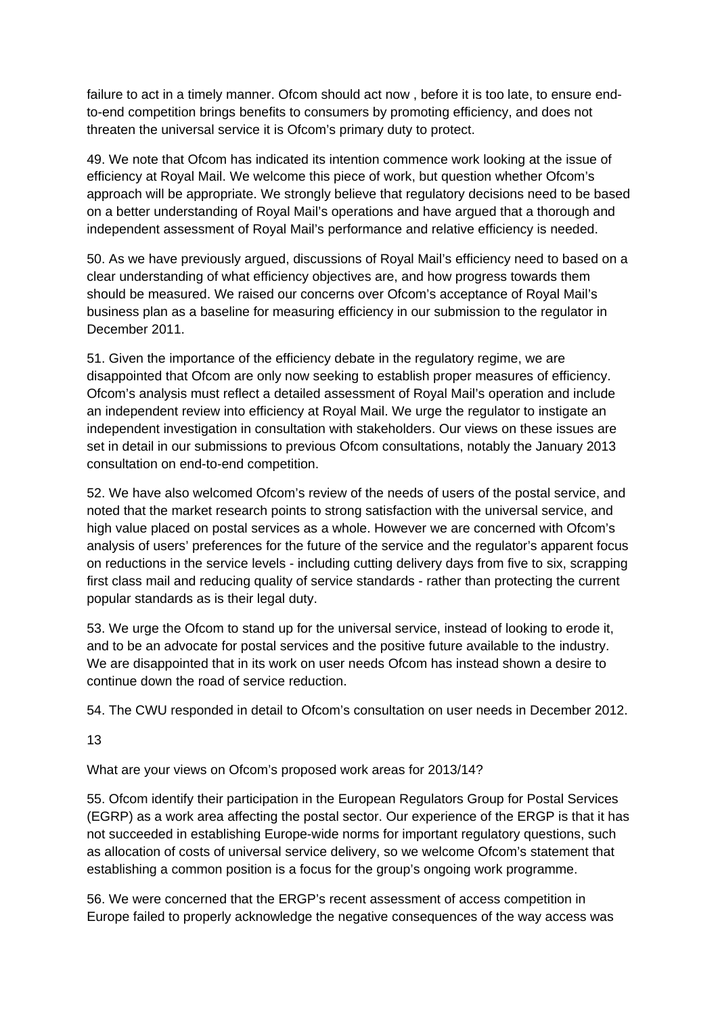failure to act in a timely manner. Ofcom should act now , before it is too late, to ensure endto-end competition brings benefits to consumers by promoting efficiency, and does not threaten the universal service it is Ofcom's primary duty to protect.

49. We note that Ofcom has indicated its intention commence work looking at the issue of efficiency at Royal Mail. We welcome this piece of work, but question whether Ofcom's approach will be appropriate. We strongly believe that regulatory decisions need to be based on a better understanding of Royal Mail's operations and have argued that a thorough and independent assessment of Royal Mail's performance and relative efficiency is needed.

50. As we have previously argued, discussions of Royal Mail's efficiency need to based on a clear understanding of what efficiency objectives are, and how progress towards them should be measured. We raised our concerns over Ofcom's acceptance of Royal Mail's business plan as a baseline for measuring efficiency in our submission to the regulator in December 2011.

51. Given the importance of the efficiency debate in the regulatory regime, we are disappointed that Ofcom are only now seeking to establish proper measures of efficiency. Ofcom's analysis must reflect a detailed assessment of Royal Mail's operation and include an independent review into efficiency at Royal Mail. We urge the regulator to instigate an independent investigation in consultation with stakeholders. Our views on these issues are set in detail in our submissions to previous Ofcom consultations, notably the January 2013 consultation on end-to-end competition.

52. We have also welcomed Ofcom's review of the needs of users of the postal service, and noted that the market research points to strong satisfaction with the universal service, and high value placed on postal services as a whole. However we are concerned with Ofcom's analysis of users' preferences for the future of the service and the regulator's apparent focus on reductions in the service levels - including cutting delivery days from five to six, scrapping first class mail and reducing quality of service standards - rather than protecting the current popular standards as is their legal duty.

53. We urge the Ofcom to stand up for the universal service, instead of looking to erode it, and to be an advocate for postal services and the positive future available to the industry. We are disappointed that in its work on user needs Ofcom has instead shown a desire to continue down the road of service reduction.

54. The CWU responded in detail to Ofcom's consultation on user needs in December 2012.

13

What are your views on Ofcom's proposed work areas for 2013/14?

55. Ofcom identify their participation in the European Regulators Group for Postal Services (EGRP) as a work area affecting the postal sector. Our experience of the ERGP is that it has not succeeded in establishing Europe-wide norms for important regulatory questions, such as allocation of costs of universal service delivery, so we welcome Ofcom's statement that establishing a common position is a focus for the group's ongoing work programme.

56. We were concerned that the ERGP's recent assessment of access competition in Europe failed to properly acknowledge the negative consequences of the way access was